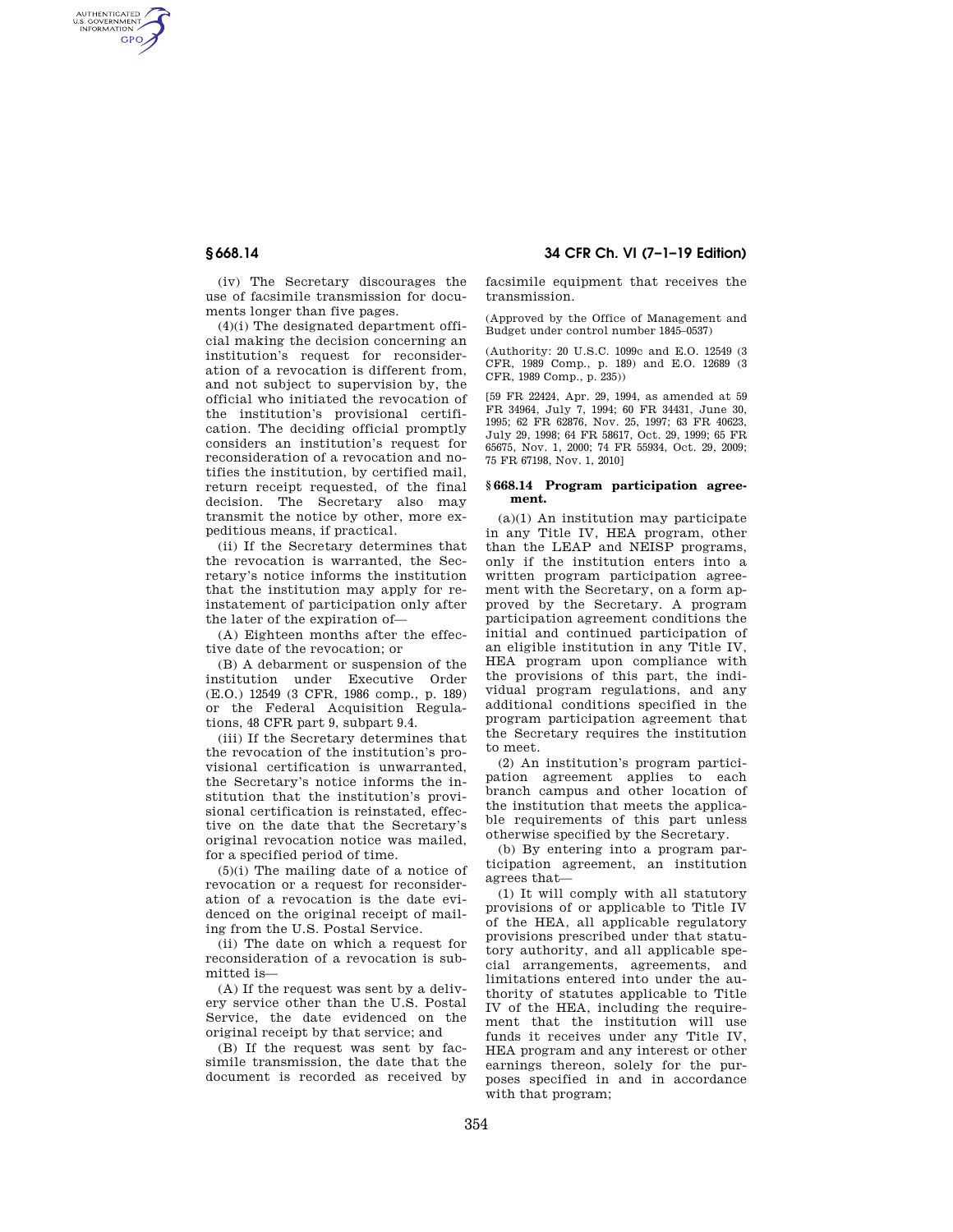AUTHENTICATED<br>U.S. GOVERNMENT<br>INFORMATION GPO

**§ 668.14 34 CFR Ch. VI (7–1–19 Edition)** 

(iv) The Secretary discourages the use of facsimile transmission for documents longer than five pages.

(4)(i) The designated department official making the decision concerning an institution's request for reconsideration of a revocation is different from, and not subject to supervision by, the official who initiated the revocation of the institution's provisional certification. The deciding official promptly considers an institution's request for reconsideration of a revocation and notifies the institution, by certified mail, return receipt requested, of the final decision. The Secretary also may transmit the notice by other, more expeditious means, if practical.

(ii) If the Secretary determines that the revocation is warranted, the Secretary's notice informs the institution that the institution may apply for reinstatement of participation only after the later of the expiration of—

(A) Eighteen months after the effective date of the revocation; or

(B) A debarment or suspension of the institution under Executive Order (E.O.) 12549 (3 CFR, 1986 comp., p. 189) or the Federal Acquisition Regulations, 48 CFR part 9, subpart 9.4.

(iii) If the Secretary determines that the revocation of the institution's provisional certification is unwarranted, the Secretary's notice informs the institution that the institution's provisional certification is reinstated, effective on the date that the Secretary's original revocation notice was mailed, for a specified period of time.

(5)(i) The mailing date of a notice of revocation or a request for reconsideration of a revocation is the date evidenced on the original receipt of mailing from the U.S. Postal Service.

(ii) The date on which a request for reconsideration of a revocation is submitted is—

(A) If the request was sent by a delivery service other than the U.S. Postal Service, the date evidenced on the original receipt by that service; and

(B) If the request was sent by facsimile transmission, the date that the document is recorded as received by facsimile equipment that receives the transmission.

(Approved by the Office of Management and Budget under control number 1845–0537)

(Authority: 20 U.S.C. 1099c and E.O. 12549 (3 CFR, 1989 Comp., p. 189) and E.O. 12689 (3 CFR, 1989 Comp., p. 235))

[59 FR 22424, Apr. 29, 1994, as amended at 59 FR 34964, July 7, 1994; 60 FR 34431, June 30, 1995; 62 FR 62876, Nov. 25, 1997; 63 FR 40623, July 29, 1998; 64 FR 58617, Oct. 29, 1999; 65 FR 65675, Nov. 1, 2000; 74 FR 55934, Oct. 29, 2009; 75 FR 67198, Nov. 1, 2010]

### **§ 668.14 Program participation agreement.**

 $(a)(1)$  An institution may participate in any Title IV, HEA program, other than the LEAP and NEISP programs, only if the institution enters into a written program participation agreement with the Secretary, on a form approved by the Secretary. A program participation agreement conditions the initial and continued participation of an eligible institution in any Title IV, HEA program upon compliance with the provisions of this part, the individual program regulations, and any additional conditions specified in the program participation agreement that the Secretary requires the institution to meet.

(2) An institution's program participation agreement applies to each branch campus and other location of the institution that meets the applicable requirements of this part unless otherwise specified by the Secretary.

(b) By entering into a program participation agreement, an institution agrees that—

(1) It will comply with all statutory provisions of or applicable to Title IV of the HEA, all applicable regulatory provisions prescribed under that statutory authority, and all applicable special arrangements, agreements, and limitations entered into under the authority of statutes applicable to Title IV of the HEA, including the requirement that the institution will use funds it receives under any Title IV, HEA program and any interest or other earnings thereon, solely for the purposes specified in and in accordance with that program;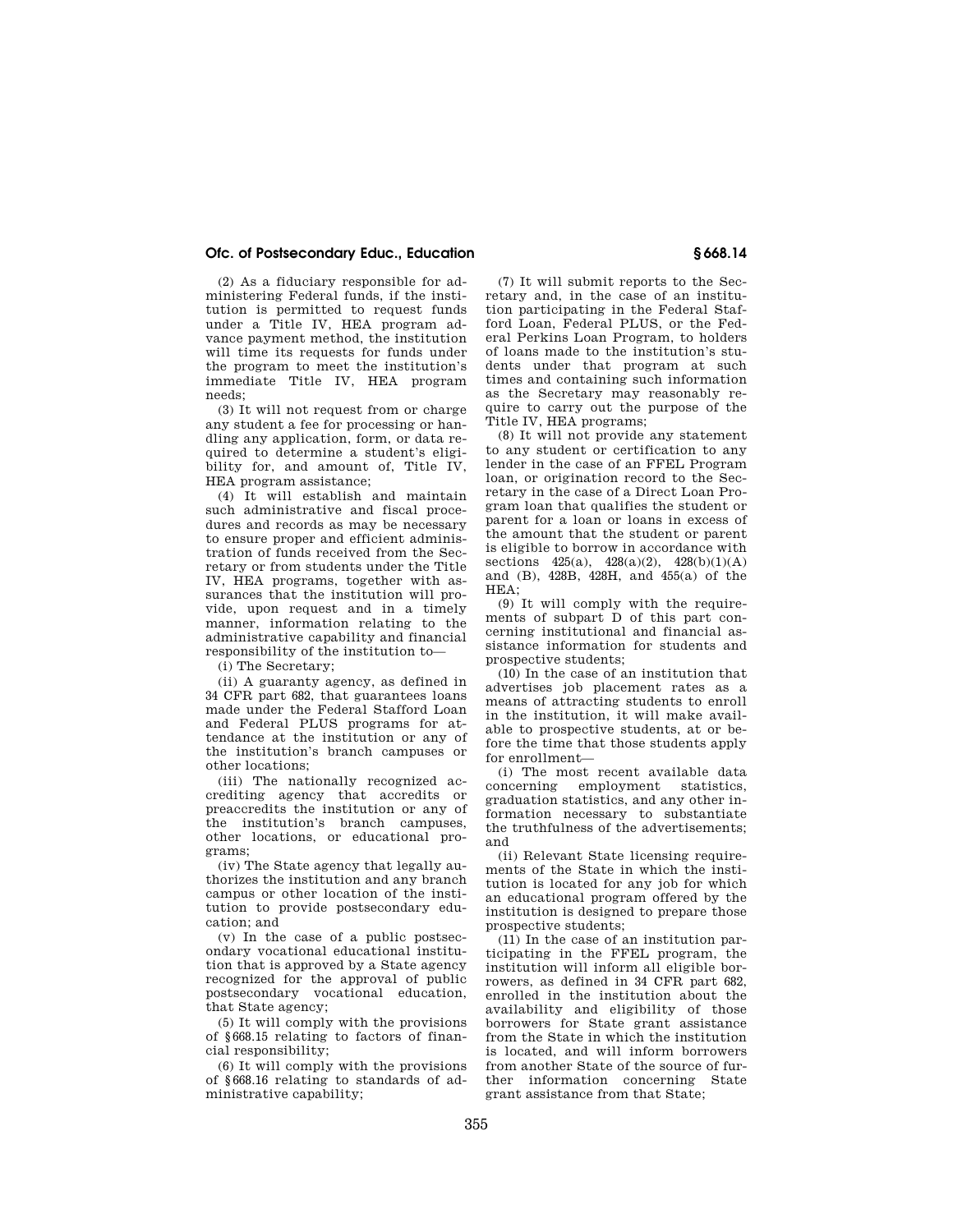## **Ofc. of Postsecondary Educ., Education § 668.14**

(2) As a fiduciary responsible for administering Federal funds, if the institution is permitted to request funds under a Title IV, HEA program advance payment method, the institution will time its requests for funds under the program to meet the institution's immediate Title IV, HEA program needs;

(3) It will not request from or charge any student a fee for processing or handling any application, form, or data required to determine a student's eligibility for, and amount of, Title IV, HEA program assistance;

(4) It will establish and maintain such administrative and fiscal procedures and records as may be necessary to ensure proper and efficient administration of funds received from the Secretary or from students under the Title IV, HEA programs, together with assurances that the institution will provide, upon request and in a timely manner, information relating to the administrative capability and financial responsibility of the institution to—

(i) The Secretary;

(ii) A guaranty agency, as defined in 34 CFR part 682, that guarantees loans made under the Federal Stafford Loan and Federal PLUS programs for attendance at the institution or any of the institution's branch campuses or other locations;

(iii) The nationally recognized accrediting agency that accredits or preaccredits the institution or any of the institution's branch campuses, other locations, or educational programs;

(iv) The State agency that legally authorizes the institution and any branch campus or other location of the institution to provide postsecondary education; and

(v) In the case of a public postsecondary vocational educational institution that is approved by a State agency recognized for the approval of public postsecondary vocational education, that State agency;

(5) It will comply with the provisions of §668.15 relating to factors of financial responsibility;

(6) It will comply with the provisions of §668.16 relating to standards of administrative capability;

(7) It will submit reports to the Secretary and, in the case of an institution participating in the Federal Stafford Loan, Federal PLUS, or the Federal Perkins Loan Program, to holders of loans made to the institution's students under that program at such times and containing such information as the Secretary may reasonably require to carry out the purpose of the Title IV, HEA programs;

(8) It will not provide any statement to any student or certification to any lender in the case of an FFEL Program loan, or origination record to the Secretary in the case of a Direct Loan Program loan that qualifies the student or parent for a loan or loans in excess of the amount that the student or parent is eligible to borrow in accordance with sections  $425(a)$ ,  $428(a)(2)$ ,  $428(b)(1)(A)$ and (B), 428B, 428H, and 455(a) of the  $HEA$ 

(9) It will comply with the requirements of subpart D of this part concerning institutional and financial assistance information for students and prospective students;

(10) In the case of an institution that advertises job placement rates as a means of attracting students to enroll in the institution, it will make available to prospective students, at or before the time that those students apply for enrollment—

(i) The most recent available data concerning employment statistics, graduation statistics, and any other information necessary to substantiate the truthfulness of the advertisements; and

(ii) Relevant State licensing requirements of the State in which the institution is located for any job for which an educational program offered by the institution is designed to prepare those prospective students;

(11) In the case of an institution participating in the FFEL program, the institution will inform all eligible borrowers, as defined in 34 CFR part 682, enrolled in the institution about the availability and eligibility of those borrowers for State grant assistance from the State in which the institution is located, and will inform borrowers from another State of the source of further information concerning State grant assistance from that State;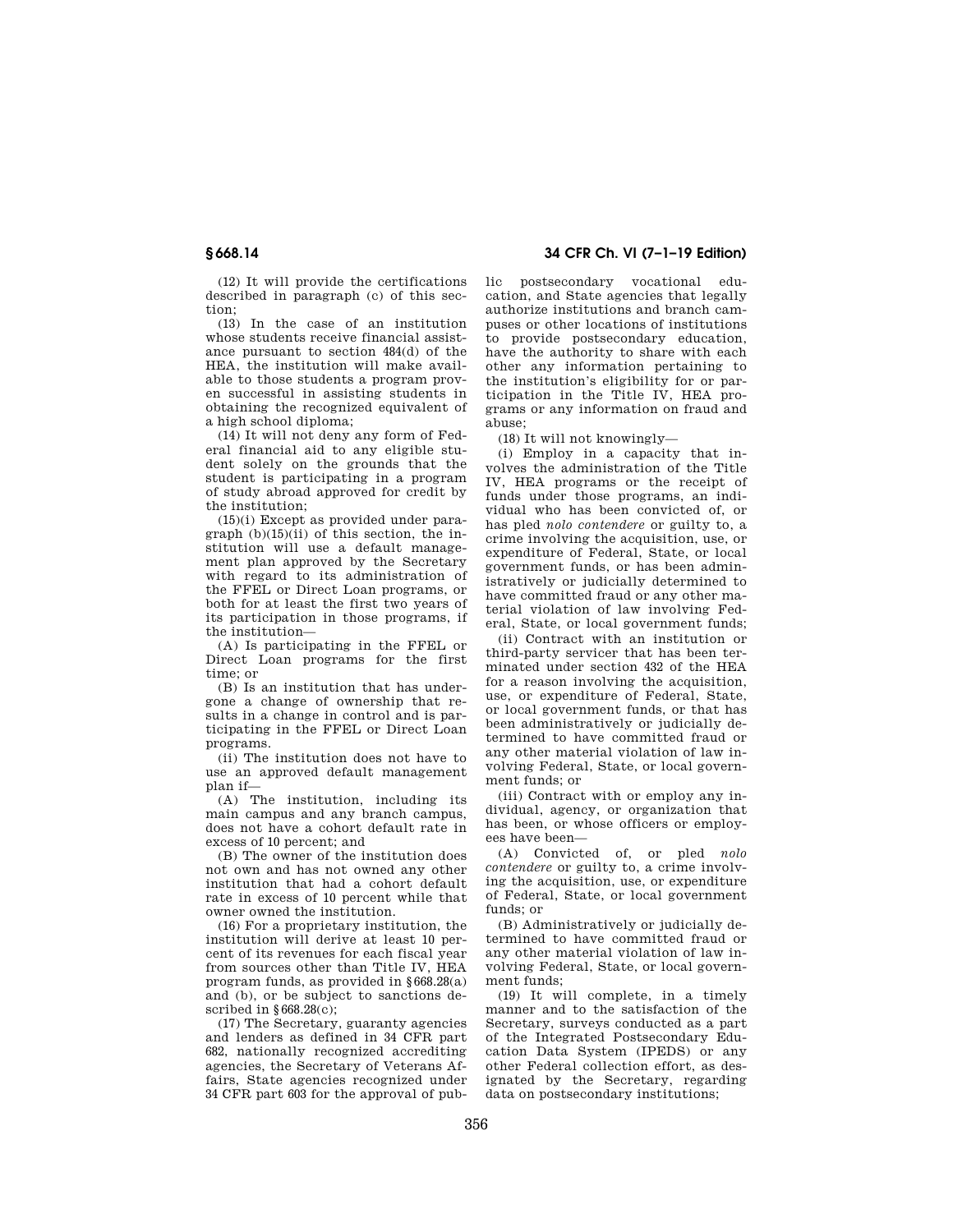(12) It will provide the certifications described in paragraph (c) of this section;

(13) In the case of an institution whose students receive financial assistance pursuant to section 484(d) of the HEA, the institution will make available to those students a program proven successful in assisting students in obtaining the recognized equivalent of a high school diploma;

(14) It will not deny any form of Federal financial aid to any eligible student solely on the grounds that the student is participating in a program of study abroad approved for credit by the institution;

(15)(i) Except as provided under paragraph  $(b)(15)(ii)$  of this section, the institution will use a default management plan approved by the Secretary with regard to its administration of the FFEL or Direct Loan programs, or both for at least the first two years of its participation in those programs, if the institution—

(A) Is participating in the FFEL or Direct Loan programs for the first time; or

(B) Is an institution that has undergone a change of ownership that results in a change in control and is participating in the FFEL or Direct Loan programs.

(ii) The institution does not have to use an approved default management plan if—

(A) The institution, including its main campus and any branch campus, does not have a cohort default rate in excess of 10 percent; and

(B) The owner of the institution does not own and has not owned any other institution that had a cohort default rate in excess of 10 percent while that owner owned the institution.

(16) For a proprietary institution, the institution will derive at least 10 percent of its revenues for each fiscal year from sources other than Title IV, HEA program funds, as provided in §668.28(a) and (b), or be subject to sanctions described in §668.28(c);

(17) The Secretary, guaranty agencies and lenders as defined in 34 CFR part 682, nationally recognized accrediting agencies, the Secretary of Veterans Affairs, State agencies recognized under 34 CFR part 603 for the approval of pub-

**§ 668.14 34 CFR Ch. VI (7–1–19 Edition)** 

lic postsecondary vocational education, and State agencies that legally authorize institutions and branch campuses or other locations of institutions to provide postsecondary education, have the authority to share with each other any information pertaining to the institution's eligibility for or participation in the Title IV, HEA programs or any information on fraud and abuse;

(18) It will not knowingly—

(i) Employ in a capacity that involves the administration of the Title IV, HEA programs or the receipt of funds under those programs, an individual who has been convicted of, or has pled *nolo contendere* or guilty to, a crime involving the acquisition, use, or expenditure of Federal, State, or local government funds, or has been administratively or judicially determined to have committed fraud or any other material violation of law involving Federal, State, or local government funds;

(ii) Contract with an institution or third-party servicer that has been terminated under section 432 of the HEA for a reason involving the acquisition, use, or expenditure of Federal, State, or local government funds, or that has been administratively or judicially determined to have committed fraud or any other material violation of law involving Federal, State, or local government funds; or

(iii) Contract with or employ any individual, agency, or organization that has been, or whose officers or employees have been—

(A) Convicted of, or pled *nolo contendere* or guilty to, a crime involving the acquisition, use, or expenditure of Federal, State, or local government funds; or

(B) Administratively or judicially determined to have committed fraud or any other material violation of law involving Federal, State, or local government funds;

(19) It will complete, in a timely manner and to the satisfaction of the Secretary, surveys conducted as a part of the Integrated Postsecondary Education Data System (IPEDS) or any other Federal collection effort, as designated by the Secretary, regarding data on postsecondary institutions;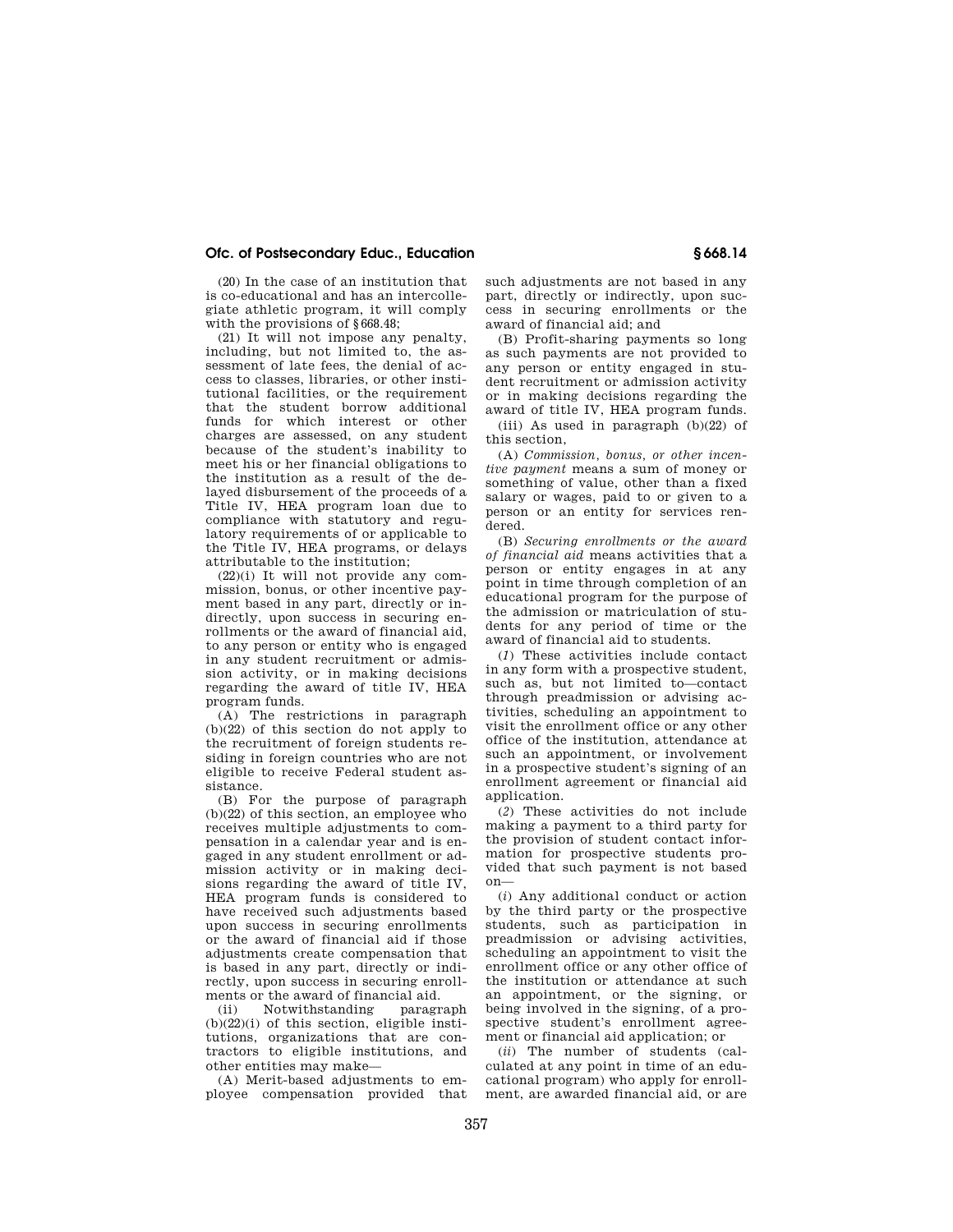# **Ofc. of Postsecondary Educ., Education § 668.14**

(20) In the case of an institution that is co-educational and has an intercollegiate athletic program, it will comply with the provisions of §668.48;

(21) It will not impose any penalty, including, but not limited to, the assessment of late fees, the denial of access to classes, libraries, or other institutional facilities, or the requirement that the student borrow additional funds for which interest or other charges are assessed, on any student because of the student's inability to meet his or her financial obligations to the institution as a result of the delayed disbursement of the proceeds of a Title IV, HEA program loan due to compliance with statutory and regulatory requirements of or applicable to the Title IV, HEA programs, or delays attributable to the institution;

 $(22)(i)$  It will not provide any commission, bonus, or other incentive payment based in any part, directly or indirectly, upon success in securing enrollments or the award of financial aid, to any person or entity who is engaged in any student recruitment or admission activity, or in making decisions regarding the award of title IV, HEA program funds.

(A) The restrictions in paragraph (b)(22) of this section do not apply to the recruitment of foreign students residing in foreign countries who are not eligible to receive Federal student assistance.

(B) For the purpose of paragraph (b)(22) of this section, an employee who receives multiple adjustments to compensation in a calendar year and is engaged in any student enrollment or admission activity or in making decisions regarding the award of title IV, HEA program funds is considered to have received such adjustments based upon success in securing enrollments or the award of financial aid if those adjustments create compensation that is based in any part, directly or indirectly, upon success in securing enrollments or the award of financial aid.

(ii) Notwithstanding paragraph  $(b)(22)(i)$  of this section, eligible institutions, organizations that are contractors to eligible institutions, and other entities may make—

(A) Merit-based adjustments to employee compensation provided that such adjustments are not based in any part, directly or indirectly, upon success in securing enrollments or the award of financial aid; and

(B) Profit-sharing payments so long as such payments are not provided to any person or entity engaged in student recruitment or admission activity or in making decisions regarding the award of title IV, HEA program funds.

(iii) As used in paragraph (b)(22) of this section,

(A) *Commission, bonus, or other incentive payment* means a sum of money or something of value, other than a fixed salary or wages, paid to or given to a person or an entity for services rendered.

(B) *Securing enrollments or the award of financial aid* means activities that a person or entity engages in at any point in time through completion of an educational program for the purpose of the admission or matriculation of students for any period of time or the award of financial aid to students.

(*1*) These activities include contact in any form with a prospective student, such as, but not limited to—contact through preadmission or advising activities, scheduling an appointment to visit the enrollment office or any other office of the institution, attendance at such an appointment, or involvement in a prospective student's signing of an enrollment agreement or financial aid application.

(*2*) These activities do not include making a payment to a third party for the provision of student contact information for prospective students provided that such payment is not based on—

(*i*) Any additional conduct or action by the third party or the prospective students, such as participation in preadmission or advising activities, scheduling an appointment to visit the enrollment office or any other office of the institution or attendance at such an appointment, or the signing, or being involved in the signing, of a prospective student's enrollment agreement or financial aid application; or

(*ii*) The number of students (calculated at any point in time of an educational program) who apply for enrollment, are awarded financial aid, or are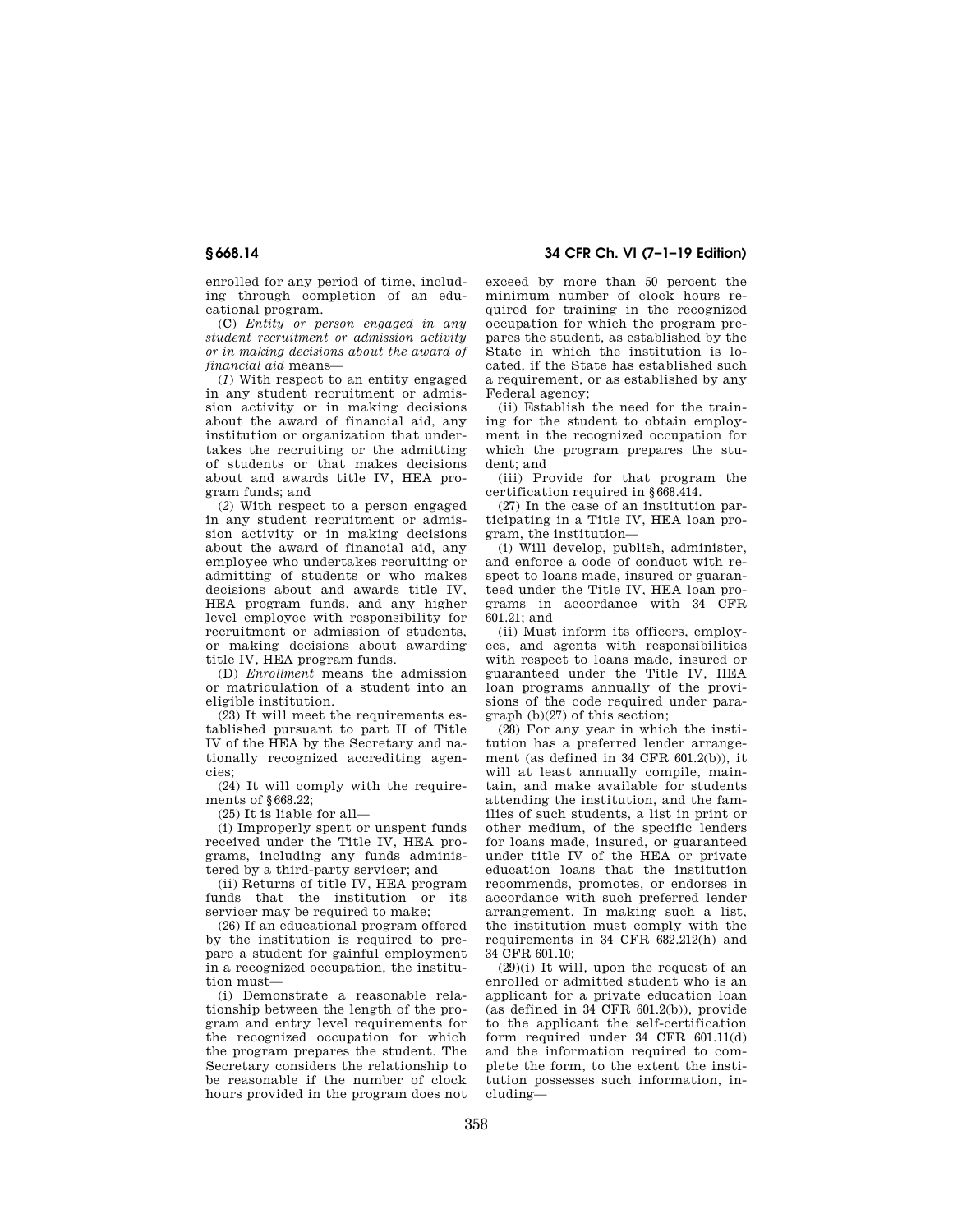enrolled for any period of time, including through completion of an educational program.

(C) *Entity or person engaged in any student recruitment or admission activity or in making decisions about the award of financial aid* means—

(*1*) With respect to an entity engaged in any student recruitment or admission activity or in making decisions about the award of financial aid, any institution or organization that undertakes the recruiting or the admitting of students or that makes decisions about and awards title IV, HEA program funds; and

(*2*) With respect to a person engaged in any student recruitment or admission activity or in making decisions about the award of financial aid, any employee who undertakes recruiting or admitting of students or who makes decisions about and awards title IV, HEA program funds, and any higher level employee with responsibility for recruitment or admission of students, or making decisions about awarding title IV, HEA program funds.

(D) *Enrollment* means the admission or matriculation of a student into an eligible institution.

(23) It will meet the requirements established pursuant to part H of Title IV of the HEA by the Secretary and nationally recognized accrediting agencies;

(24) It will comply with the requirements of §668.22;

(25) It is liable for all—

(i) Improperly spent or unspent funds received under the Title IV, HEA programs, including any funds administered by a third-party servicer; and

(ii) Returns of title IV, HEA program funds that the institution or its servicer may be required to make;

(26) If an educational program offered by the institution is required to prepare a student for gainful employment in a recognized occupation, the institution must—

(i) Demonstrate a reasonable relationship between the length of the program and entry level requirements for the recognized occupation for which the program prepares the student. The Secretary considers the relationship to be reasonable if the number of clock hours provided in the program does not

**§ 668.14 34 CFR Ch. VI (7–1–19 Edition)** 

exceed by more than 50 percent the minimum number of clock hours required for training in the recognized occupation for which the program prepares the student, as established by the State in which the institution is located, if the State has established such a requirement, or as established by any Federal agency;

(ii) Establish the need for the training for the student to obtain employment in the recognized occupation for which the program prepares the student; and

(iii) Provide for that program the certification required in §668.414.

(27) In the case of an institution participating in a Title IV, HEA loan program, the institution—

(i) Will develop, publish, administer, and enforce a code of conduct with respect to loans made, insured or guaranteed under the Title IV, HEA loan programs in accordance with 34 CFR  $601.21;$  and

(ii) Must inform its officers, employees, and agents with responsibilities with respect to loans made, insured or guaranteed under the Title IV, HEA loan programs annually of the provisions of the code required under paragraph (b)(27) of this section;

(28) For any year in which the institution has a preferred lender arrangement (as defined in 34 CFR 601.2(b)), it will at least annually compile, maintain, and make available for students attending the institution, and the families of such students, a list in print or other medium, of the specific lenders for loans made, insured, or guaranteed under title IV of the HEA or private education loans that the institution recommends, promotes, or endorses in accordance with such preferred lender arrangement. In making such a list, the institution must comply with the requirements in 34 CFR 682.212(h) and 34 CFR 601.10;

(29)(i) It will, upon the request of an enrolled or admitted student who is an applicant for a private education loan (as defined in 34 CFR 601.2(b)), provide to the applicant the self-certification form required under 34 CFR 601.11(d) and the information required to complete the form, to the extent the institution possesses such information, including—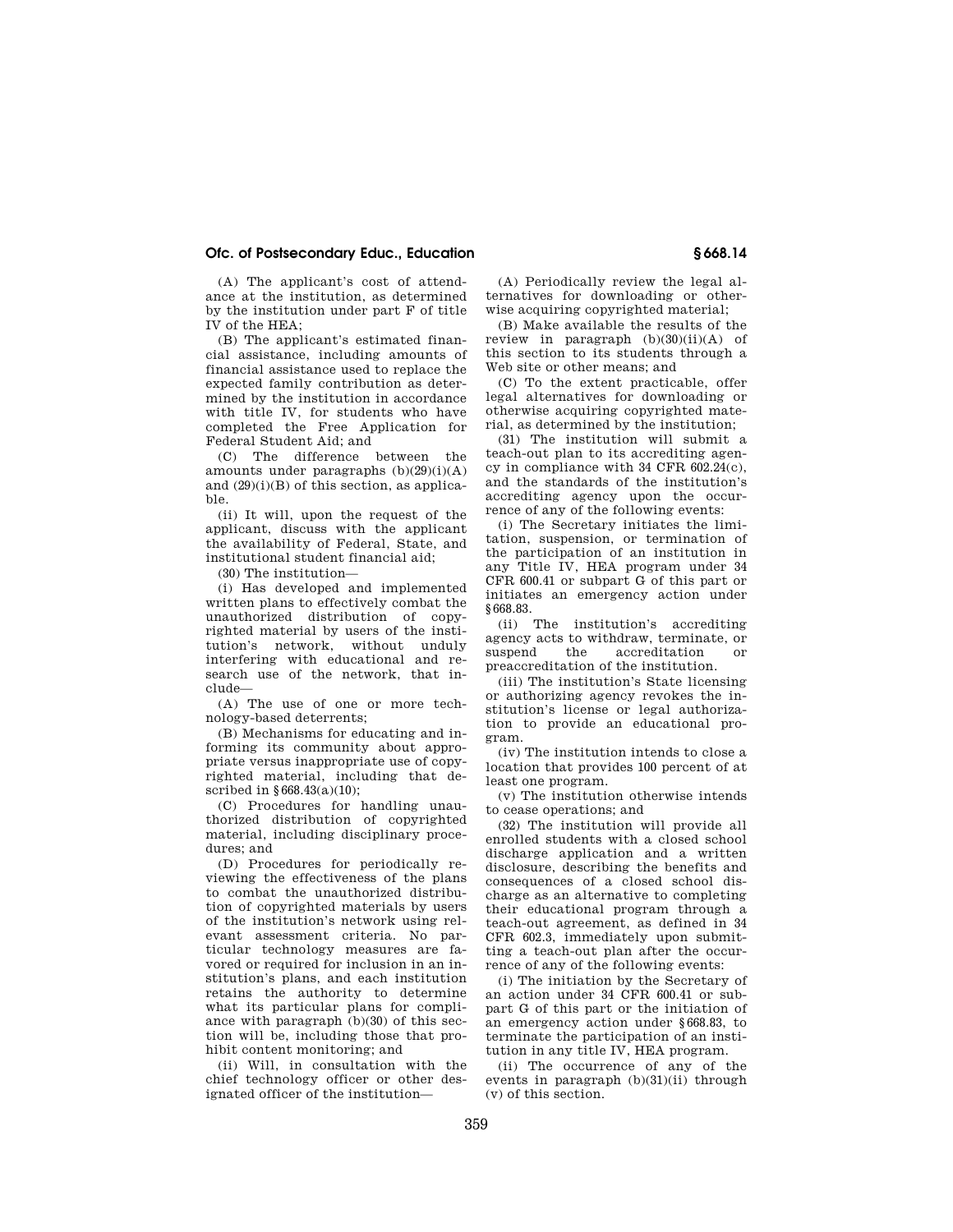# **Ofc. of Postsecondary Educ., Education § 668.14**

(A) The applicant's cost of attendance at the institution, as determined by the institution under part F of title IV of the HEA;

(B) The applicant's estimated financial assistance, including amounts of financial assistance used to replace the expected family contribution as determined by the institution in accordance with title IV, for students who have completed the Free Application for Federal Student Aid; and

(C) The difference between the amounts under paragraphs  $(b)(29)(i)(A)$ and (29)(i)(B) of this section, as applicable.

(ii) It will, upon the request of the applicant, discuss with the applicant the availability of Federal, State, and institutional student financial aid;

(30) The institution—

(i) Has developed and implemented written plans to effectively combat the unauthorized distribution of copyrighted material by users of the institution's network, without unduly interfering with educational and research use of the network, that include—

(A) The use of one or more technology-based deterrents;

(B) Mechanisms for educating and informing its community about appropriate versus inappropriate use of copyrighted material, including that described in §668.43(a)(10);

(C) Procedures for handling unauthorized distribution of copyrighted material, including disciplinary procedures; and

(D) Procedures for periodically reviewing the effectiveness of the plans to combat the unauthorized distribution of copyrighted materials by users of the institution's network using relevant assessment criteria. No particular technology measures are favored or required for inclusion in an institution's plans, and each institution retains the authority to determine what its particular plans for compliance with paragraph (b)(30) of this section will be, including those that prohibit content monitoring; and

(ii) Will, in consultation with the chief technology officer or other designated officer of the institution—

(A) Periodically review the legal alternatives for downloading or otherwise acquiring copyrighted material;

(B) Make available the results of the review in paragraph  $(b)(30)(ii)(A)$  of this section to its students through a Web site or other means; and

(C) To the extent practicable, offer legal alternatives for downloading or otherwise acquiring copyrighted material, as determined by the institution;

(31) The institution will submit a teach-out plan to its accrediting agency in compliance with 34 CFR 602.24(c), and the standards of the institution's accrediting agency upon the occurrence of any of the following events:

(i) The Secretary initiates the limitation, suspension, or termination of the participation of an institution in any Title IV, HEA program under 34 CFR 600.41 or subpart G of this part or initiates an emergency action under §668.83.

(ii) The institution's accrediting agency acts to withdraw, terminate, or suspend the accreditation or preaccreditation of the institution.

(iii) The institution's State licensing or authorizing agency revokes the institution's license or legal authorization to provide an educational program.

(iv) The institution intends to close a location that provides 100 percent of at least one program.

(v) The institution otherwise intends to cease operations; and

(32) The institution will provide all enrolled students with a closed school discharge application and a written disclosure, describing the benefits and consequences of a closed school discharge as an alternative to completing their educational program through a teach-out agreement, as defined in 34 CFR 602.3, immediately upon submitting a teach-out plan after the occurrence of any of the following events:

(i) The initiation by the Secretary of an action under 34 CFR 600.41 or subpart G of this part or the initiation of an emergency action under §668.83, to terminate the participation of an institution in any title IV, HEA program.

(ii) The occurrence of any of the events in paragraph (b)(31)(ii) through (v) of this section.